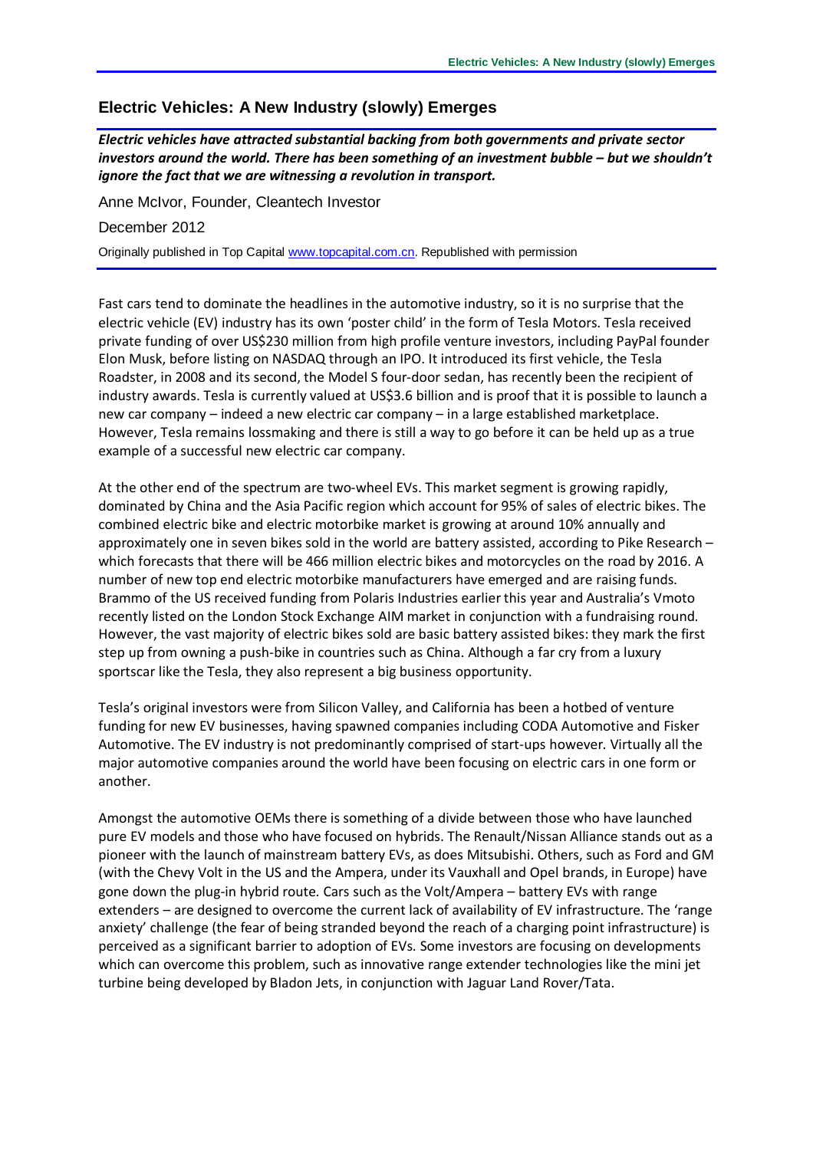## **Electric Vehicles: A New Industry (slowly) Emerges**

*Electric vehicles have attracted substantial backing from both governments and private sector investors around the world. There has been something of an investment bubble – but we shouldn't ignore the fact that we are witnessing a revolution in transport.* 

Anne McIvor, Founder, Cleantech Investor

December 2012

Originally published in Top Capital [www.topcapital.com.cn.](http://www.topcapital.com.cn/) Republished with permission

Fast cars tend to dominate the headlines in the automotive industry, so it is no surprise that the electric vehicle (EV) industry has its own 'poster child' in the form of Tesla Motors. Tesla received private funding of over US\$230 million from high profile venture investors, including PayPal founder Elon Musk, before listing on NASDAQ through an IPO. It introduced its first vehicle, the Tesla Roadster, in 2008 and its second, the Model S four-door sedan, has recently been the recipient of industry awards. Tesla is currently valued at US\$3.6 billion and is proof that it is possible to launch a new car company – indeed a new electric car company – in a large established marketplace. However, Tesla remains lossmaking and there is still a way to go before it can be held up as a true example of a successful new electric car company.

At the other end of the spectrum are two-wheel EVs. This market segment is growing rapidly, dominated by China and the Asia Pacific region which account for 95% of sales of electric bikes. The combined electric bike and electric motorbike market is growing at around 10% annually and approximately one in seven bikes sold in the world are battery assisted, according to Pike Research – which forecasts that there will be 466 million electric bikes and motorcycles on the road by 2016. A number of new top end electric motorbike manufacturers have emerged and are raising funds. Brammo of the US received funding from Polaris Industries earlier this year and Australia's Vmoto recently listed on the London Stock Exchange AIM market in conjunction with a fundraising round. However, the vast majority of electric bikes sold are basic battery assisted bikes: they mark the first step up from owning a push-bike in countries such as China. Although a far cry from a luxury sportscar like the Tesla, they also represent a big business opportunity.

Tesla's original investors were from Silicon Valley, and California has been a hotbed of venture funding for new EV businesses, having spawned companies including CODA Automotive and Fisker Automotive. The EV industry is not predominantly comprised of start-ups however. Virtually all the major automotive companies around the world have been focusing on electric cars in one form or another.

Amongst the automotive OEMs there is something of a divide between those who have launched pure EV models and those who have focused on hybrids. The Renault/Nissan Alliance stands out as a pioneer with the launch of mainstream battery EVs, as does Mitsubishi. Others, such as Ford and GM (with the Chevy Volt in the US and the Ampera, under its Vauxhall and Opel brands, in Europe) have gone down the plug-in hybrid route. Cars such as the Volt/Ampera – battery EVs with range extenders – are designed to overcome the current lack of availability of EV infrastructure. The 'range anxiety' challenge (the fear of being stranded beyond the reach of a charging point infrastructure) is perceived as a significant barrier to adoption of EVs. Some investors are focusing on developments which can overcome this problem, such as innovative range extender technologies like the mini jet turbine being developed by Bladon Jets, in conjunction with Jaguar Land Rover/Tata.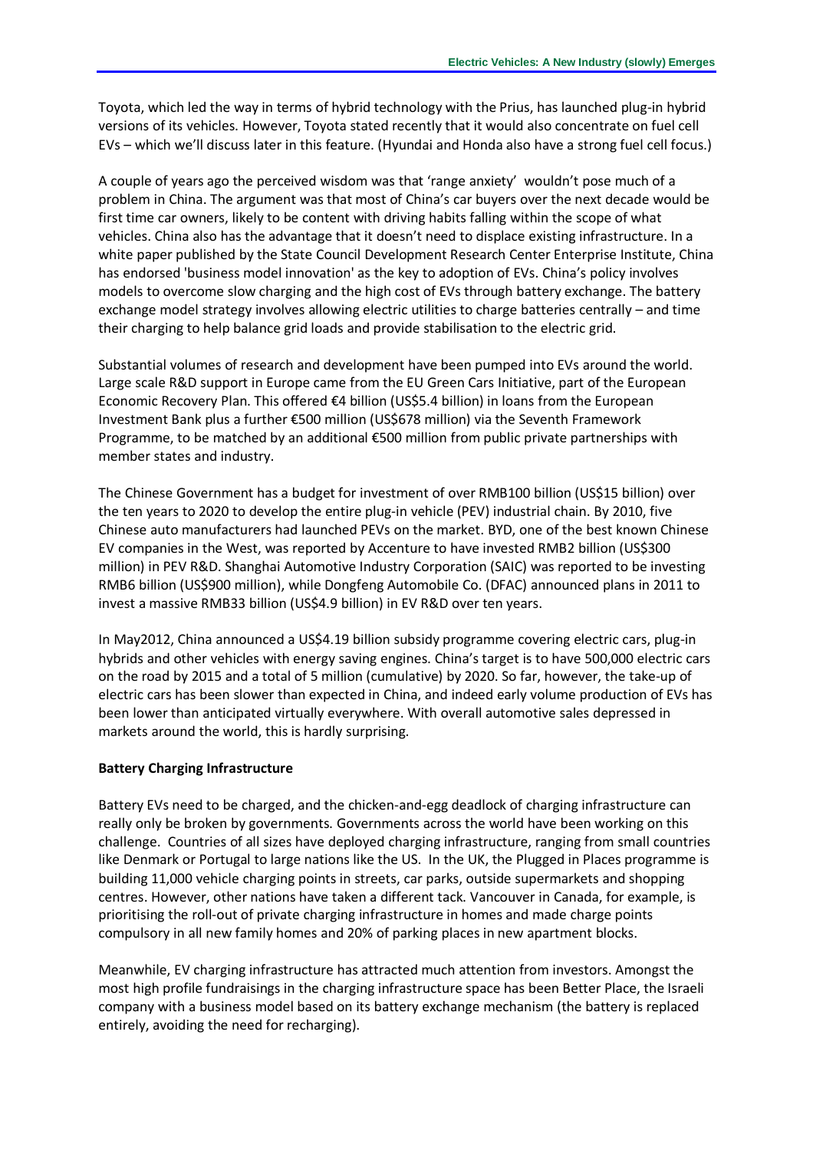Toyota, which led the way in terms of hybrid technology with the Prius, has launched plug-in hybrid versions of its vehicles. However, Toyota stated recently that it would also concentrate on fuel cell EVs – which we'll discuss later in this feature. (Hyundai and Honda also have a strong fuel cell focus.)

A couple of years ago the perceived wisdom was that 'range anxiety' wouldn't pose much of a problem in China. The argument was that most of China's car buyers over the next decade would be first time car owners, likely to be content with driving habits falling within the scope of what vehicles. China also has the advantage that it doesn't need to displace existing infrastructure. In a white paper published by the State Council Development Research Center Enterprise Institute, China has endorsed 'business model innovation' as the key to adoption of EVs. China's policy involves models to overcome slow charging and the high cost of EVs through battery exchange. The battery exchange model strategy involves allowing electric utilities to charge batteries centrally – and time their charging to help balance grid loads and provide stabilisation to the electric grid.

Substantial volumes of research and development have been pumped into EVs around the world. Large scale R&D support in Europe came from the EU Green Cars Initiative, part of the European Economic Recovery Plan. This offered €4 billion (US\$5.4 billion) in loans from the European Investment Bank plus a further €500 million (US\$678 million) via the Seventh Framework Programme, to be matched by an additional €500 million from public private partnerships with member states and industry.

The Chinese Government has a budget for investment of over RMB100 billion (US\$15 billion) over the ten years to 2020 to develop the entire plug-in vehicle (PEV) industrial chain. By 2010, five Chinese auto manufacturers had launched PEVs on the market. BYD, one of the best known Chinese EV companies in the West, was reported by Accenture to have invested RMB2 billion (US\$300 million) in PEV R&D. Shanghai Automotive Industry Corporation (SAIC) was reported to be investing RMB6 billion (US\$900 million), while Dongfeng Automobile Co. (DFAC) announced plans in 2011 to invest a massive RMB33 billion (US\$4.9 billion) in EV R&D over ten years.

In May2012, China announced a US\$4.19 billion subsidy programme covering electric cars, plug-in hybrids and other vehicles with energy saving engines. China's target is to have 500,000 electric cars on the road by 2015 and a total of 5 million (cumulative) by 2020. So far, however, the take-up of electric cars has been slower than expected in China, and indeed early volume production of EVs has been lower than anticipated virtually everywhere. With overall automotive sales depressed in markets around the world, this is hardly surprising.

## **Battery Charging Infrastructure**

Battery EVs need to be charged, and the chicken-and-egg deadlock of charging infrastructure can really only be broken by governments. Governments across the world have been working on this challenge. Countries of all sizes have deployed charging infrastructure, ranging from small countries like Denmark or Portugal to large nations like the US. In the UK, the Plugged in Places programme is building 11,000 vehicle charging points in streets, car parks, outside supermarkets and shopping centres. However, other nations have taken a different tack. Vancouver in Canada, for example, is prioritising the roll-out of private charging infrastructure in homes and made charge points compulsory in all new family homes and 20% of parking places in new apartment blocks.

Meanwhile, EV charging infrastructure has attracted much attention from investors. Amongst the most high profile fundraisings in the charging infrastructure space has been Better Place, the Israeli company with a business model based on its battery exchange mechanism (the battery is replaced entirely, avoiding the need for recharging).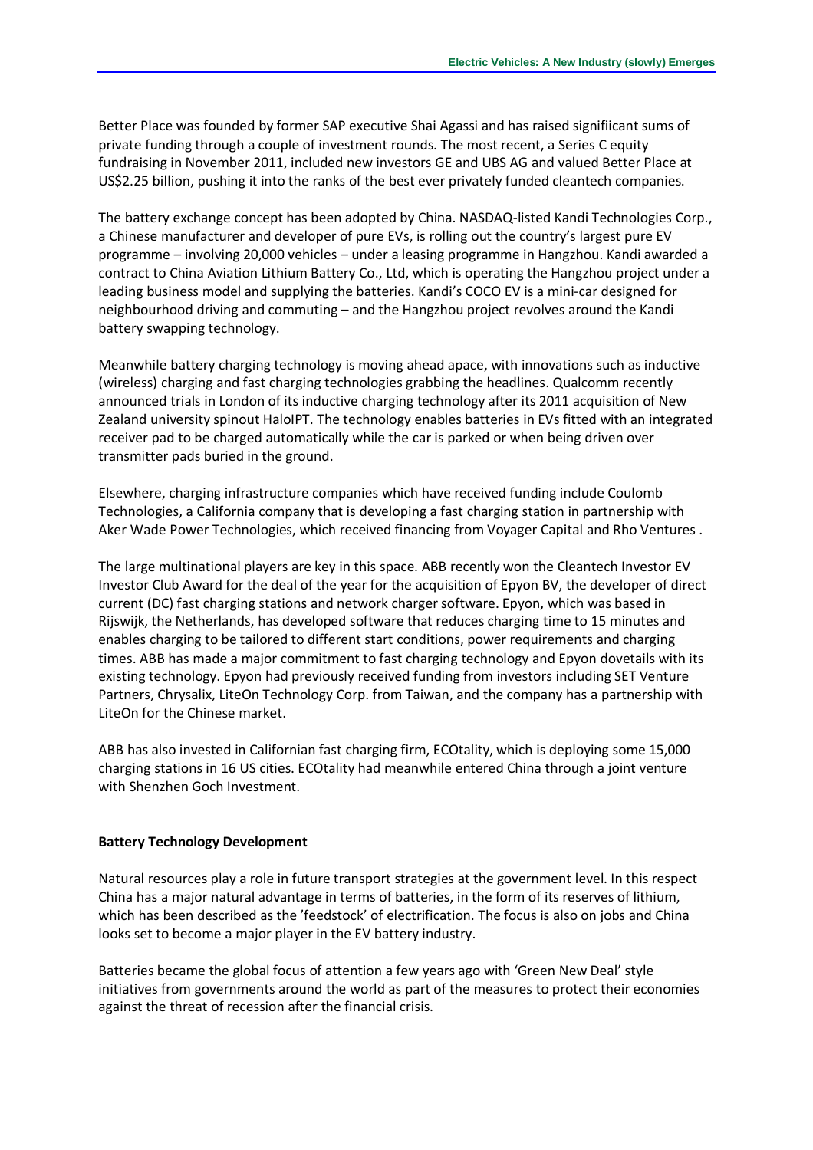Better Place was founded by former SAP executive Shai Agassi and has raised signifiicant sums of private funding through a couple of investment rounds. The most recent, a Series C equity fundraising in November 2011, included new investors GE and UBS AG and valued Better Place at US\$2.25 billion, pushing it into the ranks of the best ever privately funded cleantech companies.

The battery exchange concept has been adopted by China. NASDAQ-listed Kandi Technologies Corp., a Chinese manufacturer and developer of pure EVs, is rolling out the country's largest pure EV programme – involving 20,000 vehicles – under a leasing programme in Hangzhou. Kandi awarded a contract to China Aviation Lithium Battery Co., Ltd, which is operating the Hangzhou project under a leading business model and supplying the batteries. Kandi's COCO EV is a mini-car designed for neighbourhood driving and commuting – and the Hangzhou project revolves around the Kandi battery swapping technology.

Meanwhile battery charging technology is moving ahead apace, with innovations such as inductive (wireless) charging and fast charging technologies grabbing the headlines. Qualcomm recently announced trials in London of its inductive charging technology after its 2011 acquisition of New Zealand university spinout HaloIPT. The technology enables batteries in EVs fitted with an integrated receiver pad to be charged automatically while the car is parked or when being driven over transmitter pads buried in the ground.

Elsewhere, charging infrastructure companies which have received funding include Coulomb Technologies, a California company that is developing a fast charging station in partnership with Aker Wade Power Technologies, which received financing from Voyager Capital and Rho Ventures .

The large multinational players are key in this space. ABB recently won the Cleantech Investor EV Investor Club Award for the deal of the year for the acquisition of Epyon BV, the developer of direct current (DC) fast charging stations and network charger software. Epyon, which was based in Rijswijk, the Netherlands, has developed software that reduces charging time to 15 minutes and enables charging to be tailored to different start conditions, power requirements and charging times. ABB has made a major commitment to fast charging technology and Epyon dovetails with its existing technology. Epyon had previously received funding from investors including SET Venture Partners, Chrysalix, LiteOn Technology Corp. from Taiwan, and the company has a partnership with LiteOn for the Chinese market.

ABB has also invested in Californian fast charging firm, ECOtality, which is deploying some 15,000 charging stations in 16 US cities. ECOtality had meanwhile entered China through a joint venture with Shenzhen Goch Investment.

## **Battery Technology Development**

Natural resources play a role in future transport strategies at the government level. In this respect China has a major natural advantage in terms of batteries, in the form of its reserves of lithium, which has been described as the 'feedstock' of electrification. The focus is also on jobs and China looks set to become a major player in the EV battery industry.

Batteries became the global focus of attention a few years ago with 'Green New Deal' style initiatives from governments around the world as part of the measures to protect their economies against the threat of recession after the financial crisis.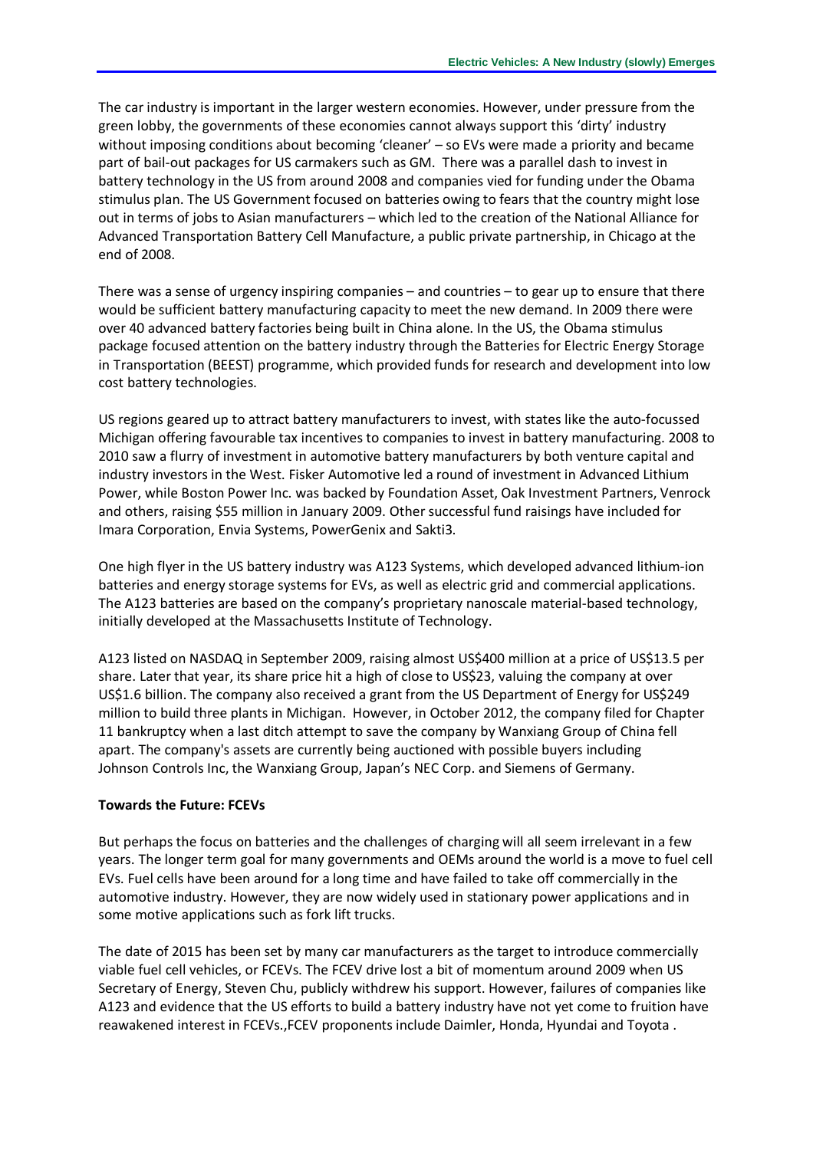The car industry is important in the larger western economies. However, under pressure from the green lobby, the governments of these economies cannot always support this 'dirty' industry without imposing conditions about becoming 'cleaner' – so EVs were made a priority and became part of bail-out packages for US carmakers such as GM. There was a parallel dash to invest in battery technology in the US from around 2008 and companies vied for funding under the Obama stimulus plan. The US Government focused on batteries owing to fears that the country might lose out in terms of jobs to Asian manufacturers – which led to the creation of the National Alliance for Advanced Transportation Battery Cell Manufacture, a public private partnership, in Chicago at the end of 2008.

There was a sense of urgency inspiring companies – and countries – to gear up to ensure that there would be sufficient battery manufacturing capacity to meet the new demand. In 2009 there were over 40 advanced battery factories being built in China alone. In the US, the Obama stimulus package focused attention on the battery industry through the Batteries for Electric Energy Storage in Transportation (BEEST) programme, which provided funds for research and development into low cost battery technologies.

US regions geared up to attract battery manufacturers to invest, with states like the auto-focussed Michigan offering favourable tax incentives to companies to invest in battery manufacturing. 2008 to 2010 saw a flurry of investment in automotive battery manufacturers by both venture capital and industry investors in the West. Fisker Automotive led a round of investment in Advanced Lithium Power, while Boston Power Inc. was backed by Foundation Asset, Oak Investment Partners, Venrock and others, raising \$55 million in January 2009. Other successful fund raisings have included for Imara Corporation, Envia Systems, PowerGenix and Sakti3.

One high flyer in the US battery industry was A123 Systems, which developed advanced lithium-ion batteries and energy storage systems for EVs, as well as electric grid and commercial applications. The A123 batteries are based on the company's proprietary nanoscale material-based technology, initially developed at the Massachusetts Institute of Technology.

A123 listed on NASDAQ in September 2009, raising almost US\$400 million at a price of US\$13.5 per share. Later that year, its share price hit a high of close to US\$23, valuing the company at over US\$1.6 billion. The company also received a grant from the US Department of Energy for US\$249 million to build three plants in Michigan. However, in October 2012, the company filed for Chapter 11 bankruptcy when a last ditch attempt to save the company by Wanxiang Group of China fell apart. The company's assets are currently being auctioned with possible buyers including Johnson Controls Inc, the Wanxiang Group, Japan's NEC Corp. and Siemens of Germany.

## **Towards the Future: FCEVs**

But perhaps the focus on batteries and the challenges of charging will all seem irrelevant in a few years. The longer term goal for many governments and OEMs around the world is a move to fuel cell EVs. Fuel cells have been around for a long time and have failed to take off commercially in the automotive industry. However, they are now widely used in stationary power applications and in some motive applications such as fork lift trucks.

The date of 2015 has been set by many car manufacturers as the target to introduce commercially viable fuel cell vehicles, or FCEVs. The FCEV drive lost a bit of momentum around 2009 when US Secretary of Energy, Steven Chu, publicly withdrew his support. However, failures of companies like A123 and evidence that the US efforts to build a battery industry have not yet come to fruition have reawakened interest in FCEVs.,FCEV proponents include Daimler, Honda, Hyundai and Toyota .